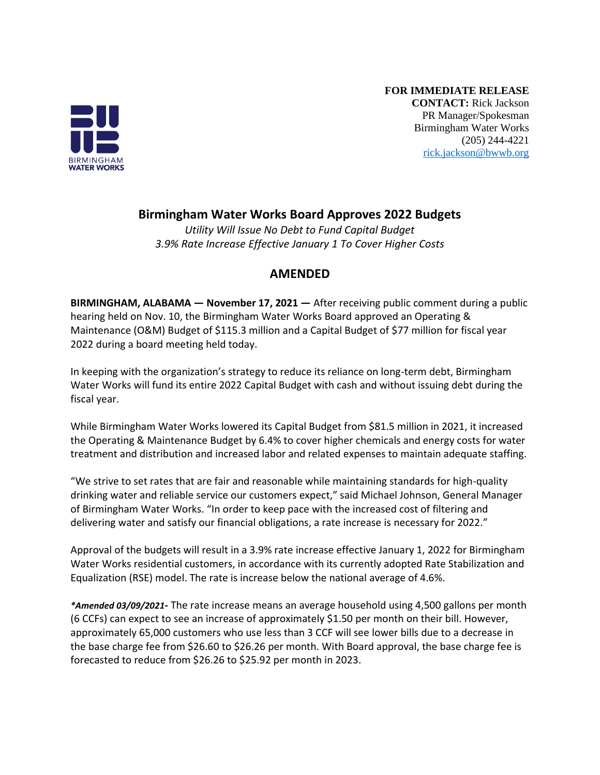

**FOR IMMEDIATE RELEASE CONTACT:** Rick Jackson PR Manager/Spokesman Birmingham Water Works (205) 244-4221 [rick.jackson@bwwb.org](mailto:rick.jackson@bwwb.org)

## **Birmingham Water Works Board Approves 2022 Budgets**

*Utility Will Issue No Debt to Fund Capital Budget 3.9% Rate Increase Effective January 1 To Cover Higher Costs*

## **AMENDED**

**BIRMINGHAM, ALABAMA — November 17, 2021 —** After receiving public comment during a public hearing held on Nov. 10, the Birmingham Water Works Board approved an Operating & Maintenance (O&M) Budget of \$115.3 million and a Capital Budget of \$77 million for fiscal year 2022 during a board meeting held today.

In keeping with the organization's strategy to reduce its reliance on long-term debt, Birmingham Water Works will fund its entire 2022 Capital Budget with cash and without issuing debt during the fiscal year.

While Birmingham Water Works lowered its Capital Budget from \$81.5 million in 2021, it increased the Operating & Maintenance Budget by 6.4% to cover higher chemicals and energy costs for water treatment and distribution and increased labor and related expenses to maintain adequate staffing.

"We strive to set rates that are fair and reasonable while maintaining standards for high-quality drinking water and reliable service our customers expect," said Michael Johnson, General Manager of Birmingham Water Works. "In order to keep pace with the increased cost of filtering and delivering water and satisfy our financial obligations, a rate increase is necessary for 2022."

Approval of the budgets will result in a 3.9% rate increase effective January 1, 2022 for Birmingham Water Works residential customers, in accordance with its currently adopted Rate Stabilization and Equalization (RSE) model. The rate is increase below the national average of 4.6%.

*\*Amended 03/09/2021***-** The rate increase means an average household using 4,500 gallons per month (6 CCFs) can expect to see an increase of approximately \$1.50 per month on their bill. However, approximately 65,000 customers who use less than 3 CCF will see lower bills due to a decrease in the base charge fee from \$26.60 to \$26.26 per month. With Board approval, the base charge fee is forecasted to reduce from \$26.26 to \$25.92 per month in 2023.